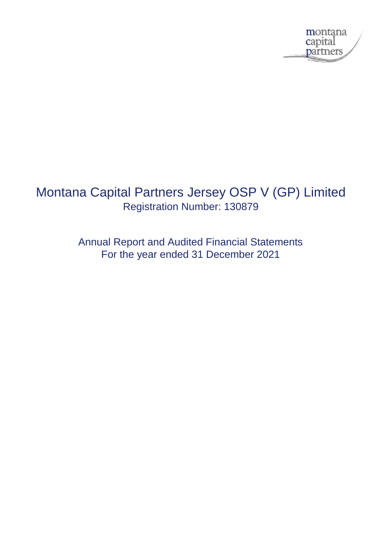

# Montana Capital Partners Jersey OSP V (GP) Limited Registration Number: 130879

Annual Report and Audited Financial Statements For the year ended 31 December 2021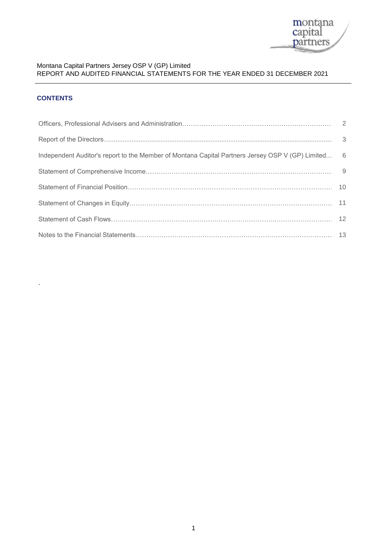

# **CONTENTS**

.

| Independent Auditor's report to the Member of Montana Capital Partners Jersey OSP V (GP) Limited 6 |  |
|----------------------------------------------------------------------------------------------------|--|
|                                                                                                    |  |
|                                                                                                    |  |
|                                                                                                    |  |
|                                                                                                    |  |
|                                                                                                    |  |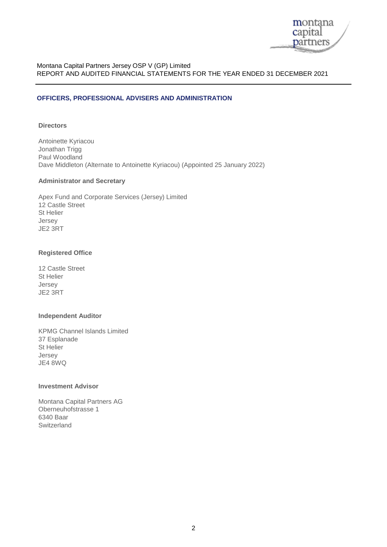

#### **OFFICERS, PROFESSIONAL ADVISERS AND ADMINISTRATION**

### **Directors**

Antoinette Kyriacou Jonathan Trigg Paul Woodland Dave Middleton (Alternate to Antoinette Kyriacou) (Appointed 25 January 2022)

#### **Administrator and Secretary**

Apex Fund and Corporate Services (Jersey) Limited 12 Castle Street St Helier Jersey JE2 3RT

#### **Registered Office**

12 Castle Street St Helier Jersey JE2 3RT

#### **Independent Auditor**

KPMG Channel Islands Limited 37 Esplanade St Helier Jersey JE4 8WQ

#### **Investment Advisor**

Montana Capital Partners AG Oberneuhofstrasse 1 6340 Baar Switzerland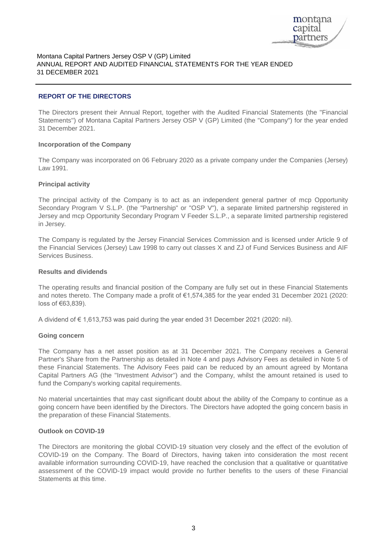

#### **REPORT OF THE DIRECTORS**

31 December 2021. Statements'') of Montana Capital Partners Jersey OSP V (GP) Limited (the ''Company'') for the year ended The Directors present their Annual Report, together with the Audited Financial Statements (the ''Financial

#### **Incorporation of the Company**

Law 1991. The Company was incorporated on 06 February 2020 as a private company under the Companies (Jersey)

#### **Principal activity**

in Jersey. Jersey and mcp Opportunity Secondary Program V Feeder S.L.P., a separate limited partnership registered Secondary Program V S.L.P. (the "Partnership" or "OSP V"), a separate limited partnership registered in The principal activity of the Company is to act as an independent general partner of mcp Opportunity

Services Business. the Financial Services (Jersey) Law 1998 to carry out classes X and ZJ of Fund Services Business and AIF The Company is regulated by the Jersey Financial Services Commission and is licensed under Article 9 of

#### **Results and dividends**

loss of €63,839). and notes thereto. The Company made a profit of €1,574,385 for the year ended 31 December 2021 (2020: The operating results and financial position of the Company are fully set out in these Financial Statements

A dividend of € 1,613,753 was paid during the year ended 31 December 2021 (2020: nil).

#### **Going concern**

The Company has a net asset position as at 31 December 2021. The Company receives a General Partner's Share from the Partnership as detailed in Note 4 and pays Advisory Fees as detailed in Note 5 of these Financial Statements. The Advisory Fees paid can be reduced by an amount agreed by Montana Capital Partners AG (the ''Investment Advisor'') and the Company, whilst the amount retained is used to fund the Company's working capital requirements.

No material uncertainties that may cast significant doubt about the ability of the Company to continue as a going concern have been identified by the Directors. The Directors have adopted the going concern basis in the preparation of these Financial Statements.

#### **Outlook on COVID-19**

The Directors are monitoring the global COVID-19 situation very closely and the effect of the evolution of COVID-19 on the Company. The Board of Directors, having taken into consideration the most recent available information surrounding COVID-19, have reached the conclusion that a qualitative or quantitative assessment of the COVID-19 impact would provide no further benefits to the users of these Financial Statements at this time.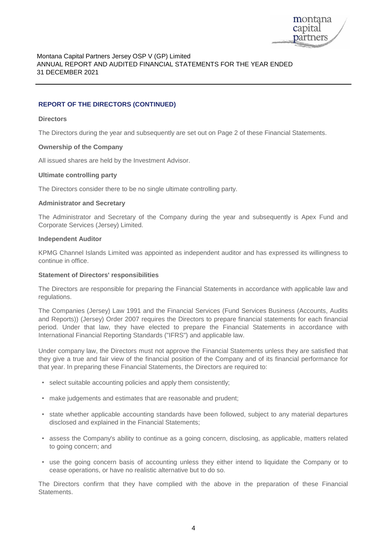

# **REPORT OF THE DIRECTORS (CONTINUED)**

#### **Directors**

The Directors during the year and subsequently are set out on Page 2 of these Financial Statements.

#### **Ownership of the Company**

All issued shares are held by the Investment Advisor.

#### **Ultimate controlling party**

The Directors consider there to be no single ultimate controlling party.

#### **Administrator and Secretary**

The Administrator and Secretary of the Company during the year and subsequently is Apex Fund and Corporate Services (Jersey) Limited.

#### **Independent Auditor**

KPMG Channel Islands Limited was appointed as independent auditor and has expressed its willingness to continue in office.

#### **Statement of Directors' responsibilities**

The Directors are responsible for preparing the Financial Statements in accordance with applicable law and regulations.

The Companies (Jersey) Law 1991 and the Financial Services (Fund Services Business (Accounts, Audits and Reports)) (Jersey) Order 2007 requires the Directors to prepare financial statements for each financial period. Under that law, they have elected to prepare the Financial Statements in accordance with International Financial Reporting Standards ("IFRS") and applicable law.

Under company law, the Directors must not approve the Financial Statements unless they are satisfied that they give a true and fair view of the financial position of the Company and of its financial performance for that year. In preparing these Financial Statements, the Directors are required to:

- select suitable accounting policies and apply them consistently;
- make judgements and estimates that are reasonable and prudent;
- state whether applicable accounting standards have been followed, subject to any material departures disclosed and explained in the Financial Statements;
- assess the Company's ability to continue as a going concern, disclosing, as applicable, matters related to going concern; and
- use the going concern basis of accounting unless they either intend to liquidate the Company or to cease operations, or have no realistic alternative but to do so.

The Directors confirm that they have complied with the above in the preparation of these Financial Statements.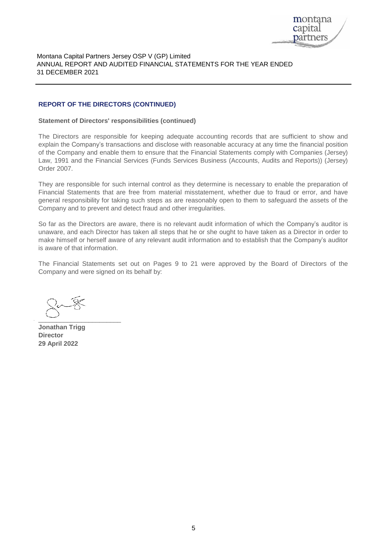

#### **REPORT OF THE DIRECTORS (CONTINUED)**

#### **Statement of Directors' responsibilities (continued)**

The Directors are responsible for keeping adequate accounting records that are sufficient to show and explain the Company's transactions and disclose with reasonable accuracy at any time the financial position of the Company and enable them to ensure that the Financial Statements comply with Companies (Jersey) Law, 1991 and the Financial Services (Funds Services Business (Accounts, Audits and Reports)) (Jersey) Order 2007.

They are responsible for such internal control as they determine is necessary to enable the preparation of Financial Statements that are free from material misstatement, whether due to fraud or error, and have general responsibility for taking such steps as are reasonably open to them to safeguard the assets of the Company and to prevent and detect fraud and other irregularities.

So far as the Directors are aware, there is no relevant audit information of which the Company's auditor is unaware, and each Director has taken all steps that he or she ought to have taken as a Director in order to make himself or herself aware of any relevant audit information and to establish that the Company's auditor is aware of that information.

The Financial Statements set out on Pages 9 to 21 were approved by the Board of Directors of the Company and were signed on its behalf by:

 $\overbrace{\phantom{aaaaa}}^{x}$ 

**Jonathan Trigg Director 29 April 2022**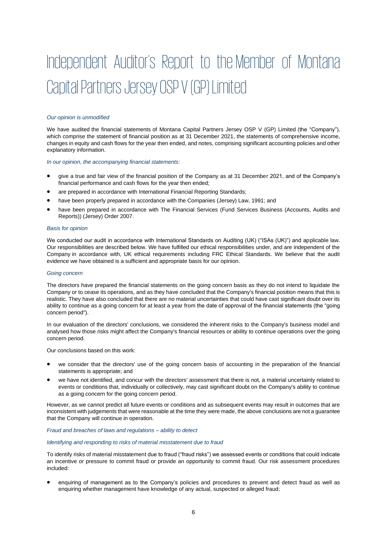# Independent Auditor's Report to the Member of Montana Capital Partners Jersey OSP V (GP) Limited

#### *Our opinion is unmodified*

We have audited the financial statements of Montana Capital Partners Jersey OSP V (GP) Limited (the "Company"), which comprise the statement of financial position as at 31 December 2021, the statements of comprehensive income, changes in equity and cash flows for the year then ended, and notes, comprising significant accounting policies and other explanatory information.

*In our opinion, the accompanying financial statements:*

- give a true and fair view of the financial position of the Company as at 31 December 2021, and of the Company's financial performance and cash flows for the year then ended;
- are prepared in accordance with International Financial Reporting Standards;
- have been properly prepared in accordance with the Companies (Jersey) Law, 1991; and
- have been prepared in accordance with The Financial Services (Fund Services Business (Accounts, Audits and Reports)) (Jersey) Order 2007.

#### *Basis for opinion*

We conducted our audit in accordance with International Standards on Auditing (UK) ("ISAs (UK)") and applicable law. Our responsibilities are described below. We have fulfilled our ethical responsibilities under, and are independent of the Company in accordance with, UK ethical requirements including FRC Ethical Standards. We believe that the audit evidence we have obtained is a sufficient and appropriate basis for our opinion.

#### *Going concern*

The directors have prepared the financial statements on the going concern basis as they do not intend to liquidate the Company or to cease its operations, and as they have concluded that the Company's financial position means that this is realistic. They have also concluded that there are no material uncertainties that could have cast significant doubt over its ability to continue as a going concern for at least a year from the date of approval of the financial statements (the "going concern period").

In our evaluation of the directors' conclusions, we considered the inherent risks to the Company's business model and analysed how those risks might affect the Company's financial resources or ability to continue operations over the going concern period.

Our conclusions based on this work:

- we consider that the directors' use of the going concern basis of accounting in the preparation of the financial statements is appropriate; and
- we have not identified, and concur with the directors' assessment that there is not, a material uncertainty related to events or conditions that, individually or collectively, may cast significant doubt on the Company's ability to continue as a going concern for the going concern period.

However, as we cannot predict all future events or conditions and as subsequent events may result in outcomes that are inconsistent with judgements that were reasonable at the time they were made, the above conclusions are not a guarantee that the Company will continue in operation.

#### *Fraud and breaches of laws and regulations – ability to detect*

#### *Identifying and responding to risks of material misstatement due to fraud*

To identify risks of material misstatement due to fraud ("fraud risks") we assessed events or conditions that could indicate an incentive or pressure to commit fraud or provide an opportunity to commit fraud. Our risk assessment procedures included:

• enquiring of management as to the Company's policies and procedures to prevent and detect fraud as well as enquiring whether management have knowledge of any actual, suspected or alleged fraud;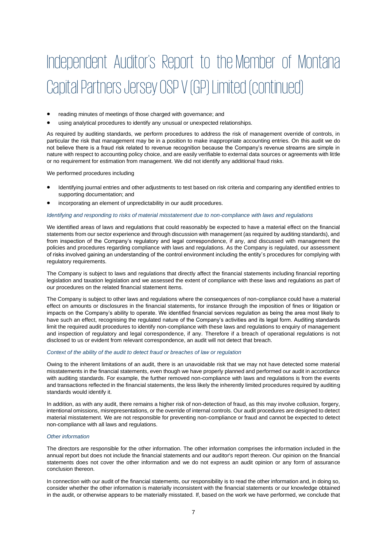# Independent Auditor's Report to the Member of Montana Capital Partners Jersey OSP V (GP) Limited (continued)

- reading minutes of meetings of those charged with governance; and
- using analytical procedures to identify any unusual or unexpected relationships.

As required by auditing standards, we perform procedures to address the risk of management override of controls, in particular the risk that management may be in a position to make inappropriate accounting entries. On this audit we do not believe there is a fraud risk related to revenue recognition because the Company's revenue streams are simple in nature with respect to accounting policy choice, and are easily verifiable to external data sources or agreements with little or no requirement for estimation from management. We did not identify any additional fraud risks.

We performed procedures including

- Identifying journal entries and other adjustments to test based on risk criteria and comparing any identified entries to supporting documentation; and
- incorporating an element of unpredictability in our audit procedures.

#### *Identifying and responding to risks of material misstatement due to non-compliance with laws and regulations*

We identified areas of laws and regulations that could reasonably be expected to have a material effect on the financial statements from our sector experience and through discussion with management (as required by auditing standards), and from inspection of the Company's regulatory and legal correspondence, if any, and discussed with management the policies and procedures regarding compliance with laws and regulations. As the Company is regulated, our assessment of risks involved gaining an understanding of the control environment including the entity's procedures for complying with regulatory requirements.

The Company is subject to laws and regulations that directly affect the financial statements including financial reporting legislation and taxation legislation and we assessed the extent of compliance with these laws and regulations as part of our procedures on the related financial statement items.

The Company is subject to other laws and regulations where the consequences of non-compliance could have a material effect on amounts or disclosures in the financial statements, for instance through the imposition of fines or litigation or impacts on the Company's ability to operate. We identified financial services regulation as being the area most likely to have such an effect, recognising the regulated nature of the Company's activities and its legal form. Auditing standards limit the required audit procedures to identify non-compliance with these laws and regulations to enquiry of management and inspection of regulatory and legal correspondence, if any. Therefore if a breach of operational regulations is not disclosed to us or evident from relevant correspondence, an audit will not detect that breach.

#### *Context of the ability of the audit to detect fraud or breaches of law or regulation*

Owing to the inherent limitations of an audit, there is an unavoidable risk that we may not have detected some material misstatements in the financial statements, even though we have properly planned and performed our audit in accordance with auditing standards. For example, the further removed non-compliance with laws and regulations is from the events and transactions reflected in the financial statements, the less likely the inherently limited procedures required by auditing standards would identify it.

In addition, as with any audit, there remains a higher risk of non-detection of fraud, as this may involve collusion, forgery, intentional omissions, misrepresentations, or the override of internal controls. Our audit procedures are designed to detect material misstatement. We are not responsible for preventing non-compliance or fraud and cannot be expected to detect non-compliance with all laws and regulations.

#### *Other information*

The directors are responsible for the other information. The other information comprises the information included in the annual report but does not include the financial statements and our auditor's report thereon. Our opinion on the financial statements does not cover the other information and we do not express an audit opinion or any form of assurance conclusion thereon.

In connection with our audit of the financial statements, our responsibility is to read the other information and, in doing so, consider whether the other information is materially inconsistent with the financial statements or our knowledge obtained in the audit, or otherwise appears to be materially misstated. If, based on the work we have performed, we conclude that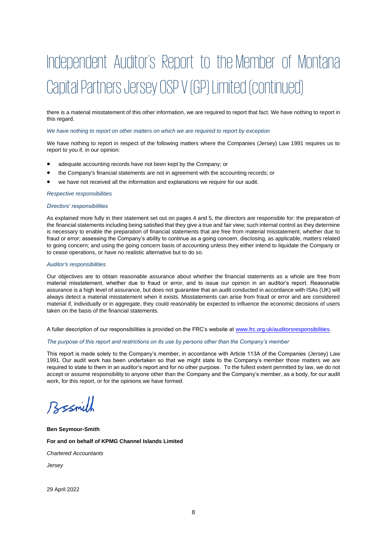# Independent Auditor's Report to the Member of Montana Capital Partners Jersey OSP V (GP) Limited (continued)

there is a material misstatement of this other information, we are required to report that fact. We have nothing to report in this regard.

#### *We have nothing to report on other matters on which we are required to report by exception*

We have nothing to report in respect of the following matters where the Companies (Jersey) Law 1991 requires us to report to you if, in our opinion:

- adequate accounting records have not been kept by the Company; or
- the Company's financial statements are not in agreement with the accounting records; or
- we have not received all the information and explanations we require for our audit.

#### *Respective responsibilities*

#### *Directors' responsibilities*

As explained more fully in their statement set out on pages 4 and 5, the directors are responsible for: the preparation of the financial statements including being satisfied that they give a true and fair view; such internal control as they determine is necessary to enable the preparation of financial statements that are free from material misstatement, whether due to fraud or error; assessing the Company's ability to continue as a going concern, disclosing, as applicable, matters related to going concern; and using the going concern basis of accounting unless they either intend to liquidate the Company or to cease operations, or have no realistic alternative but to do so.

#### *Auditor's responsibilities*

Our objectives are to obtain reasonable assurance about whether the financial statements as a whole are free from material misstatement, whether due to fraud or error, and to issue our opinion in an auditor's report. Reasonable assurance is a high level of assurance, but does not guarantee that an audit conducted in accordance with ISAs (UK) will always detect a material misstatement when it exists. Misstatements can arise from fraud or error and are considered material if, individually or in aggregate, they could reasonably be expected to influence the economic decisions of users taken on the basis of the financial statements.

A fuller description of our responsibilities is provided on the FRC's website at [www.frc.org.uk/auditorsresponsibilities.](http://www.frc.org.uk/auditorsresponsibilities)

#### *The purpose of this report and restrictions on its use by persons other than the Company's member*

This report is made solely to the Company's member, in accordance with Article 113A of the Companies (Jersey) Law 1991. Our audit work has been undertaken so that we might state to the Company's member those matters we are required to state to them in an auditor's report and for no other purpose. To the fullest extent permitted by law, we do not accept or assume responsibility to anyone other than the Company and the Company's member, as a body, for our audit work, for this report, or for the opinions we have formed.

Bssmith

**Ben Seymour-Smith For and on behalf of KPMG Channel Islands Limited** *Chartered Accountants*

*Jersey*

29 April 2022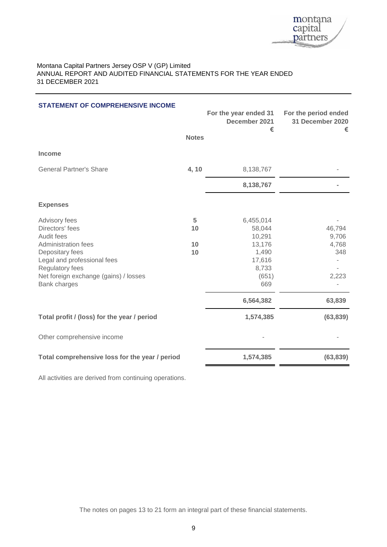

| <b>STATEMENT OF COMPREHENSIVE INCOME</b>                                                                                                                                                            | <b>Notes</b>        | For the year ended 31<br>December 2021<br>€                                         | For the period ended<br>31 December 2020<br>€ |
|-----------------------------------------------------------------------------------------------------------------------------------------------------------------------------------------------------|---------------------|-------------------------------------------------------------------------------------|-----------------------------------------------|
| <b>Income</b>                                                                                                                                                                                       |                     |                                                                                     |                                               |
| <b>General Partner's Share</b>                                                                                                                                                                      | 4, 10               | 8,138,767                                                                           |                                               |
|                                                                                                                                                                                                     |                     | 8,138,767                                                                           |                                               |
| <b>Expenses</b>                                                                                                                                                                                     |                     |                                                                                     |                                               |
| Advisory fees<br>Directors' fees<br>Audit fees<br>Administration fees<br>Depositary fees<br>Legal and professional fees<br>Regulatory fees<br>Net foreign exchange (gains) / losses<br>Bank charges | 5<br>10<br>10<br>10 | 6,455,014<br>58,044<br>10,291<br>13,176<br>1,490<br>17,616<br>8,733<br>(651)<br>669 | 46,794<br>9,706<br>4,768<br>348<br>2,223      |
|                                                                                                                                                                                                     |                     | 6,564,382                                                                           | 63,839                                        |
| Total profit / (loss) for the year / period                                                                                                                                                         |                     | 1,574,385                                                                           | (63, 839)                                     |
| Other comprehensive income                                                                                                                                                                          |                     |                                                                                     |                                               |
| Total comprehensive loss for the year / period                                                                                                                                                      |                     | 1,574,385                                                                           | (63, 839)                                     |

All activities are derived from continuing operations.

The notes on pages 13 to 21 form an integral part of these financial statements.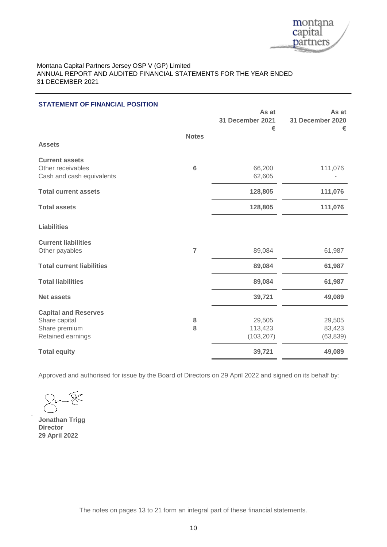

| <b>STATEMENT OF FINANCIAL POSITION</b>                                             |                | As at<br>31 December 2021<br>€  | As at<br>31 December 2020<br>€ |
|------------------------------------------------------------------------------------|----------------|---------------------------------|--------------------------------|
| <b>Assets</b>                                                                      | <b>Notes</b>   |                                 |                                |
| <b>Current assets</b><br>Other receivables<br>Cash and cash equivalents            | 6              | 66,200<br>62,605                | 111,076                        |
| <b>Total current assets</b>                                                        |                | 128,805                         | 111,076                        |
| <b>Total assets</b>                                                                |                | 128,805                         | 111,076                        |
| <b>Liabilities</b>                                                                 |                |                                 |                                |
| <b>Current liabilities</b><br>Other payables                                       | $\overline{7}$ | 89,084                          | 61,987                         |
| <b>Total current liabilities</b>                                                   |                | 89,084                          | 61,987                         |
| <b>Total liabilities</b>                                                           |                | 89,084                          | 61,987                         |
| <b>Net assets</b>                                                                  |                | 39,721                          | 49,089                         |
| <b>Capital and Reserves</b><br>Share capital<br>Share premium<br>Retained earnings | 8<br>8         | 29,505<br>113,423<br>(103, 207) | 29,505<br>83,423<br>(63, 839)  |
| <b>Total equity</b>                                                                |                | 39,721                          | 49,089                         |

Approved and authorised for issue by the Board of Directors on 29 April 2022 and signed on its behalf by:

**Jonathan Trigg 29 April 2022 Director**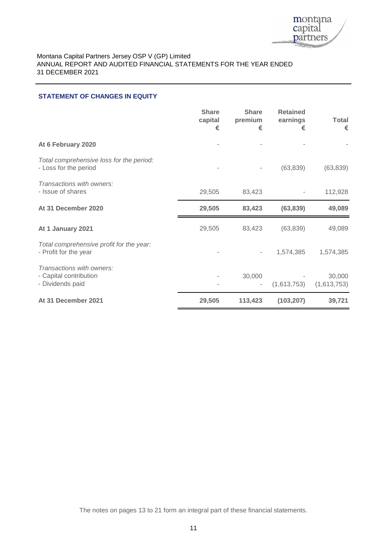

#### **STATEMENT OF CHANGES IN EQUITY**

|                                                                         | <b>Share</b><br>capital<br>€ | <b>Share</b><br>premium<br>€ | <b>Retained</b><br>earnings<br>€ | <b>Total</b><br>€     |
|-------------------------------------------------------------------------|------------------------------|------------------------------|----------------------------------|-----------------------|
| At 6 February 2020                                                      |                              |                              |                                  |                       |
| Total comprehensive loss for the period:<br>- Loss for the period       |                              |                              | (63, 839)                        | (63, 839)             |
| Transactions with owners:<br>- Issue of shares                          | 29,505                       | 83,423                       |                                  | 112,928               |
| At 31 December 2020                                                     | 29,505                       | 83,423                       | (63, 839)                        | 49,089                |
| At 1 January 2021                                                       | 29,505                       | 83,423                       | (63, 839)                        | 49,089                |
| Total comprehensive profit for the year:<br>- Profit for the year       |                              | $\overline{\phantom{m}}$     | 1,574,385                        | 1,574,385             |
| Transactions with owners:<br>- Capital contribution<br>- Dividends paid |                              | 30,000                       | (1,613,753)                      | 30,000<br>(1,613,753) |
| At 31 December 2021                                                     | 29,505                       | 113,423                      | (103, 207)                       | 39,721                |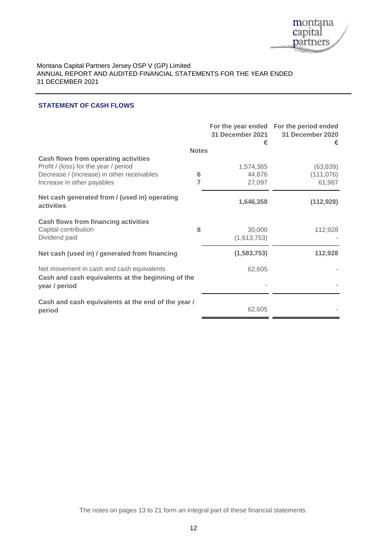

# **STATEMENT OF CASH FLOWS**

|                                                                                                                 |              | 31 December 2021<br>€ | For the year ended For the period ended<br>31 December 2020<br>€ |
|-----------------------------------------------------------------------------------------------------------------|--------------|-----------------------|------------------------------------------------------------------|
|                                                                                                                 | <b>Notes</b> |                       |                                                                  |
| <b>Cash flows from operating activities</b><br>Profit / (loss) for the year / period                            |              | 1,574,385             | (63, 839)                                                        |
| Decrease / (increase) in other receivables                                                                      | 6            | 44,876                | (111, 076)                                                       |
| Increase in other payables                                                                                      | 7            | 27,097                | 61,987                                                           |
| Net cash generated from / (used in) operating<br>activities                                                     |              | 1,646,358             | (112, 928)                                                       |
| <b>Cash flows from financing activities</b><br>Capital contribution<br>Dividend paid                            | 8            | 30,000<br>(1,613,753) | 112,928                                                          |
| Net cash (used in) / generated from financing                                                                   |              | (1,583,753)           | 112,928                                                          |
| Net movement in cash and cash equivalents<br>Cash and cash equivalents at the beginning of the<br>year / period |              | 62,605                |                                                                  |
| Cash and cash equivalents at the end of the year /<br>period                                                    |              | 62,605                |                                                                  |

The notes on pages 13 to 21 form an integral part of these financial statements.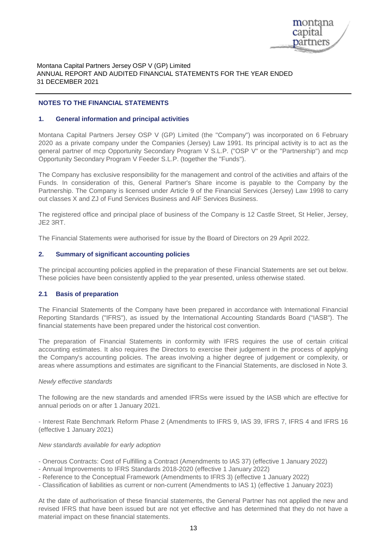

#### **NOTES TO THE FINANCIAL STATEMENTS**

#### **1. General information and principal activities**

Montana Capital Partners Jersey OSP V (GP) Limited (the ''Company'') was incorporated on 6 February 2020 as a private company under the Companies (Jersey) Law 1991. Its principal activity is to act as the general partner of mcp Opportunity Secondary Program V S.L.P. ("OSP V" or the ''Partnership'') and mcp Opportunity Secondary Program V Feeder S.L.P. (together the ''Funds'').

The Company has exclusive responsibility for the management and control of the activities and affairs of the Funds. In consideration of this, General Partner's Share income is payable to the Company by the Partnership. The Company is licensed under Article 9 of the Financial Services (Jersey) Law 1998 to carry out classes X and ZJ of Fund Services Business and AIF Services Business.

The registered office and principal place of business of the Company is 12 Castle Street, St Helier, Jersey, JE2 3RT.

The Financial Statements were authorised for issue by the Board of Directors on 29 April 2022.

#### **2. Summary of significant accounting policies**

The principal accounting policies applied in the preparation of these Financial Statements are set out below. These policies have been consistently applied to the year presented, unless otherwise stated.

#### **2.1 Basis of preparation**

The Financial Statements of the Company have been prepared in accordance with International Financial Reporting Standards ("IFRS"), as issued by the International Accounting Standards Board ("IASB"). The financial statements have been prepared under the historical cost convention.

The preparation of Financial Statements in conformity with IFRS requires the use of certain critical accounting estimates. It also requires the Directors to exercise their judgement in the process of applying the Company's accounting policies. The areas involving a higher degree of judgement or complexity, or areas where assumptions and estimates are significant to the Financial Statements, are disclosed in Note 3.

#### *Newly effective standards*

The following are the new standards and amended IFRSs were issued by the IASB which are effective for annual periods on or after 1 January 2021.

- Interest Rate Benchmark Reform Phase 2 (Amendments to IFRS 9, IAS 39, IFRS 7, IFRS 4 and IFRS 16 (effective 1 January 2021)

#### *New standards available for early adoption*

- Onerous Contracts: Cost of Fulfilling a Contract (Amendments to IAS 37) (effective 1 January 2022)
- Annual Improvements to IFRS Standards 2018-2020 (effective 1 January 2022)
- Reference to the Conceptual Framework (Amendments to IFRS 3) (effective 1 January 2022)
- Classification of liabilities as current or non-current (Amendments to IAS 1) (effective 1 January 2023)

At the date of authorisation of these financial statements, the General Partner has not applied the new and revised IFRS that have been issued but are not yet effective and has determined that they do not have a material impact on these financial statements.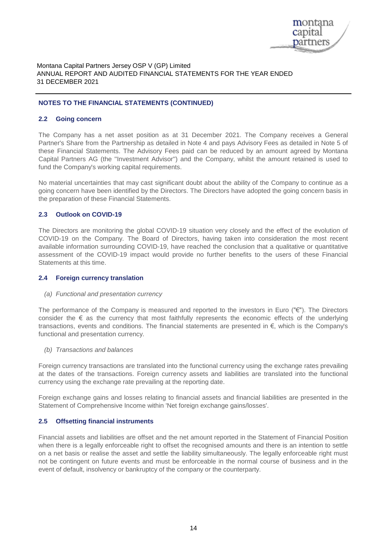

#### **NOTES TO THE FINANCIAL STATEMENTS (CONTINUED)**

#### **2.2 Going concern**

The Company has a net asset position as at 31 December 2021. The Company receives a General Partner's Share from the Partnership as detailed in Note 4 and pays Advisory Fees as detailed in Note 5 of these Financial Statements. The Advisory Fees paid can be reduced by an amount agreed by Montana Capital Partners AG (the ''Investment Advisor'') and the Company, whilst the amount retained is used to fund the Company's working capital requirements.

No material uncertainties that may cast significant doubt about the ability of the Company to continue as a going concern have been identified by the Directors. The Directors have adopted the going concern basis in the preparation of these Financial Statements.

#### **2.3 Outlook on COVID-19**

The Directors are monitoring the global COVID-19 situation very closely and the effect of the evolution of COVID-19 on the Company. The Board of Directors, having taken into consideration the most recent available information surrounding COVID-19, have reached the conclusion that a qualitative or quantitative assessment of the COVID-19 impact would provide no further benefits to the users of these Financial Statements at this time.

#### **2.4 Foreign currency translation**

#### *(a) Functional and presentation currency*

The performance of the Company is measured and reported to the investors in Euro ("€"). The Directors consider the € as the currency that most faithfully represents the economic effects of the underlying transactions, events and conditions. The financial statements are presented in €, which is the Company's functional and presentation currency.

#### *(b) Transactions and balances*

Foreign currency transactions are translated into the functional currency using the exchange rates prevailing at the dates of the transactions. Foreign currency assets and liabilities are translated into the functional currency using the exchange rate prevailing at the reporting date.

Foreign exchange gains and losses relating to financial assets and financial liabilities are presented in the Statement of Comprehensive Income within 'Net foreign exchange gains/losses'.

#### **2.5 Offsetting financial instruments**

Financial assets and liabilities are offset and the net amount reported in the Statement of Financial Position when there is a legally enforceable right to offset the recognised amounts and there is an intention to settle on a net basis or realise the asset and settle the liability simultaneously. The legally enforceable right must not be contingent on future events and must be enforceable in the normal course of business and in the event of default, insolvency or bankruptcy of the company or the counterparty.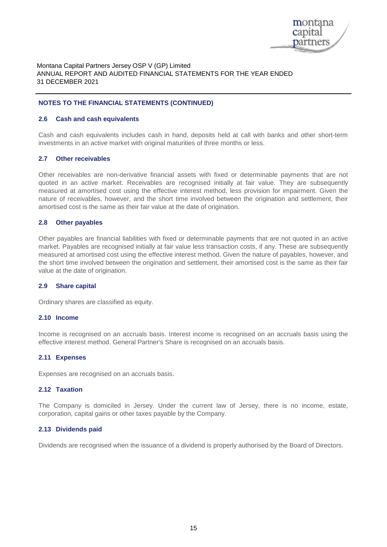

#### **NOTES TO THE FINANCIAL STATEMENTS (CONTINUED)**

#### **2.6 Cash and cash equivalents**

Cash and cash equivalents includes cash in hand, deposits held at call with banks and other short-term investments in an active market with original maturities of three months or less.

#### **2.7 Other receivables**

Other receivables are non-derivative financial assets with fixed or determinable payments that are not quoted in an active market. Receivables are recognised initially at fair value. They are subsequently measured at amortised cost using the effective interest method, less provision for impairment. Given the nature of receivables, however, and the short time involved between the origination and settlement, their amortised cost is the same as their fair value at the date of origination.

#### **2.8 Other payables**

Other payables are financial liabilities with fixed or determinable payments that are not quoted in an active market. Payables are recognised initially at fair value less transaction costs, if any. These are subsequently measured at amortised cost using the effective interest method. Given the nature of payables, however, and the short time involved between the origination and settlement, their amortised cost is the same as their fair value at the date of origination.

#### **2.9 Share capital**

Ordinary shares are classified as equity.

#### **2.10 Income**

Income is recognised on an accruals basis. Interest income is recognised on an accruals basis using the effective interest method. General Partner's Share is recognised on an accruals basis.

#### **2.11 Expenses**

Expenses are recognised on an accruals basis.

#### **2.12 Taxation**

The Company is domiciled in Jersey. Under the current law of Jersey, there is no income, estate, corporation, capital gains or other taxes payable by the Company.

#### **2.13 Dividends paid**

Dividends are recognised when the issuance of a dividend is properly authorised by the Board of Directors.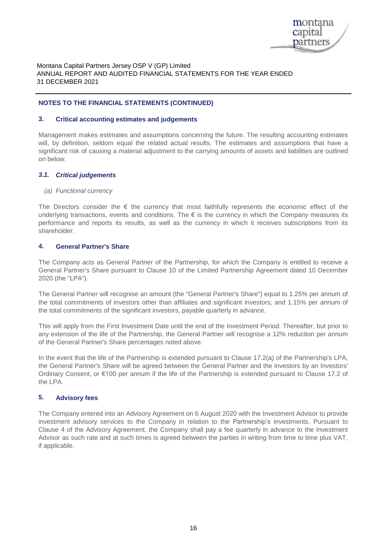

#### **NOTES TO THE FINANCIAL STATEMENTS (CONTINUED)**

#### **3. Critical accounting estimates and judgements**

Management makes estimates and assumptions concerning the future. The resulting accounting estimates will, by definition, seldom equal the related actual results. The estimates and assumptions that have a significant risk of causing a material adjustment to the carrying amounts of assets and liabilities are outlined on below.

#### *3.1. Critical judgements*

#### *(a) Functional currency*

The Directors consider the  $\epsilon$  the currency that most faithfully represents the economic effect of the underlying transactions, events and conditions. The  $\epsilon$  is the currency in which the Company measures its performance and reports its results, as well as the currency in which it receives subscriptions from its shareholder.

#### **4. General Partner's Share**

The Company acts as General Partner of the Partnership, for which the Company is entitled to receive a General Partner's Share pursuant to Clause 10 of the Limited Partnership Agreement dated 10 December 2020 (the "LPA").

The General Partner will recognise an amount (the "General Partner's Share") equal to 1.25% per annum of the total commitments of investors other than affiliates and significant investors; and 1.15% per annum of the total commitments of the significant investors, payable quarterly in advance.

This will apply from the First Investment Date until the end of the Investment Period. Thereafter, but prior to any extension of the life of the Partnership, the General Partner will recognise a 12% reduction per annum of the General Partner's Share percentages noted above.

In the event that the life of the Partnership is extended pursuant to Clause 17.2(a) of the Partnership's LPA, the General Partner's Share will be agreed between the General Partner and the investors by an Investors' Ordinary Consent, or €100 per annum if the life of the Partnership is extended pursuant to Clause 17.2 of the LPA.

#### **5. Advisory fees**

The Company entered into an Advisory Agreement on 6 August 2020 with the Investment Advisor to provide investment advisory services to the Company in relation to the Partnership's investments. Pursuant to Clause 4 of the Advisory Agreement, the Company shall pay a fee quarterly in advance to the Investment Advisor as such rate and at such times is agreed between the parties in writing from time to time plus VAT, if applicable.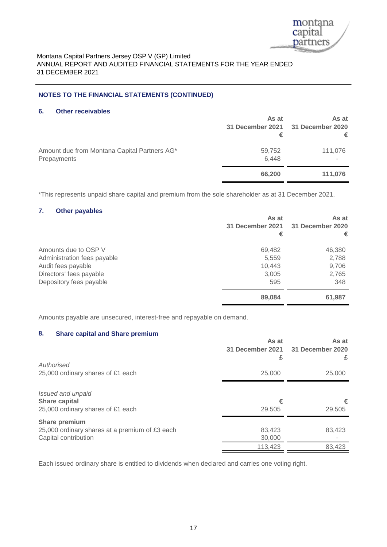

# **NOTES TO THE FINANCIAL STATEMENTS (CONTINUED)**

#### **6. Other receivables**

|                                                             | As at<br>€      | As at<br>31 December 2021 31 December 2020<br>€ |
|-------------------------------------------------------------|-----------------|-------------------------------------------------|
| Amount due from Montana Capital Partners AG*<br>Prepayments | 59,752<br>6,448 | 111,076                                         |
|                                                             | 66,200          | 111,076                                         |

\*This represents unpaid share capital and premium from the sole shareholder as at 31 December 2021.

# **7. Other payables**

|                                                                                                                                 | As at<br>31 December 2021<br>€            | As at<br>31 December 2020<br>€           |
|---------------------------------------------------------------------------------------------------------------------------------|-------------------------------------------|------------------------------------------|
| Amounts due to OSP V<br>Administration fees payable<br>Audit fees payable<br>Directors' fees payable<br>Depository fees payable | 69,482<br>5,559<br>10,443<br>3,005<br>595 | 46,380<br>2,788<br>9,706<br>2,765<br>348 |
|                                                                                                                                 | 89,084                                    | 61,987                                   |

Amounts payable are unsecured, interest-free and repayable on demand.

# **8. Share capital and Share premium**

|                                                | As at<br>31 December 2021<br>£ | As at<br>31 December 2020<br>£ |
|------------------------------------------------|--------------------------------|--------------------------------|
| Authorised                                     |                                |                                |
| 25,000 ordinary shares of £1 each              | 25,000                         | 25,000                         |
| Issued and unpaid                              |                                |                                |
| <b>Share capital</b>                           | €                              | €                              |
| 25,000 ordinary shares of £1 each              | 29,505                         | 29,505                         |
| <b>Share premium</b>                           |                                |                                |
| 25,000 ordinary shares at a premium of £3 each | 83,423                         | 83,423                         |
| Capital contribution                           | 30,000                         |                                |
|                                                | 113,423                        | 83,423                         |

Each issued ordinary share is entitled to dividends when declared and carries one voting right.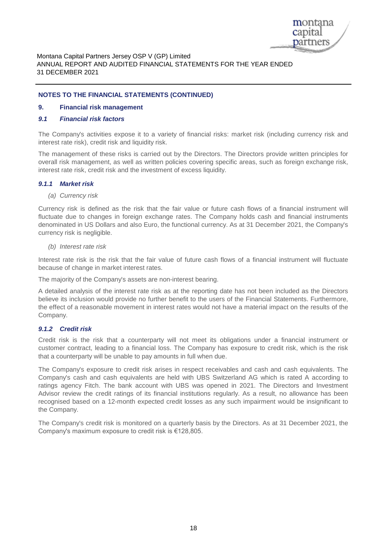

#### **NOTES TO THE FINANCIAL STATEMENTS (CONTINUED)**

#### **9. Financial risk management**

#### *9.1 Financial risk factors*

The Company's activities expose it to a variety of financial risks: market risk (including currency risk and interest rate risk), credit risk and liquidity risk.

The management of these risks is carried out by the Directors. The Directors provide written principles for overall risk management, as well as written policies covering specific areas, such as foreign exchange risk, interest rate risk, credit risk and the investment of excess liquidity.

#### *9.1.1 Market risk*

#### *(a) Currency risk*

Currency risk is defined as the risk that the fair value or future cash flows of a financial instrument will fluctuate due to changes in foreign exchange rates. The Company holds cash and financial instruments denominated in US Dollars and also Euro, the functional currency. As at 31 December 2021, the Company's currency risk is negligible.

#### *(b) Interest rate risk*

Interest rate risk is the risk that the fair value of future cash flows of a financial instrument will fluctuate because of change in market interest rates.

The majority of the Company's assets are non-interest bearing.

A detailed analysis of the interest rate risk as at the reporting date has not been included as the Directors believe its inclusion would provide no further benefit to the users of the Financial Statements. Furthermore, the effect of a reasonable movement in interest rates would not have a material impact on the results of the Company.

#### *9.1.2 Credit risk*

Credit risk is the risk that a counterparty will not meet its obligations under a financial instrument or customer contract, leading to a financial loss. The Company has exposure to credit risk, which is the risk that a counterparty will be unable to pay amounts in full when due.

The Company's exposure to credit risk arises in respect receivables and cash and cash equivalents. The Company's cash and cash equivalents are held with UBS Switzerland AG which is rated A according to ratings agency Fitch. The bank account with UBS was opened in 2021. The Directors and Investment Advisor review the credit ratings of its financial institutions regularly. As a result, no allowance has been recognised based on a 12-month expected credit losses as any such impairment would be insignificant to the Company.

The Company's credit risk is monitored on a quarterly basis by the Directors. As at 31 December 2021, the Company's maximum exposure to credit risk is €128,805.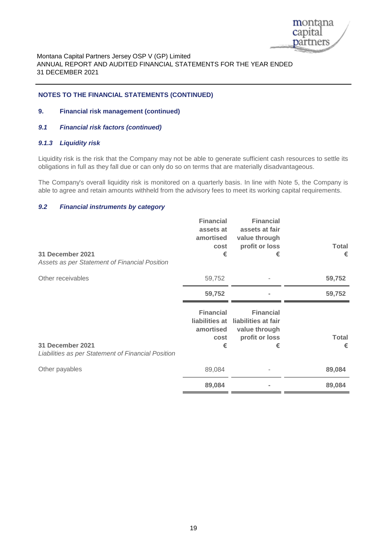

#### **NOTES TO THE FINANCIAL STATEMENTS (CONTINUED)**

#### **9. Financial risk management (continued)**

# *9.1 Financial risk factors (continued)*

#### *9.1.3 Liquidity risk*

Liquidity risk is the risk that the Company may not be able to generate sufficient cash resources to settle its obligations in full as they fall due or can only do so on terms that are materially disadvantageous.

The Company's overall liquidity risk is monitored on a quarterly basis. In line with Note 5, the Company is able to agree and retain amounts withheld from the advisory fees to meet its working capital requirements.

#### *9.2 Financial instruments by category*

| 31 December 2021<br>Assets as per Statement of Financial Position      | <b>Financial</b><br>assets at<br>amortised<br>cost<br>€             | <b>Financial</b><br>assets at fair<br>value through<br>profit or loss<br>€      | <b>Total</b><br>€ |
|------------------------------------------------------------------------|---------------------------------------------------------------------|---------------------------------------------------------------------------------|-------------------|
| Other receivables                                                      | 59,752                                                              |                                                                                 | 59,752            |
|                                                                        | 59,752                                                              |                                                                                 | 59,752            |
| 31 December 2021<br>Liabilities as per Statement of Financial Position | <b>Financial</b><br>liabilities at<br>amortised<br><b>cost</b><br>€ | <b>Financial</b><br>liabilities at fair<br>value through<br>profit or loss<br>€ | <b>Total</b><br>€ |
| Other payables                                                         | 89,084                                                              |                                                                                 | 89,084            |
|                                                                        | 89,084                                                              |                                                                                 | 89,084            |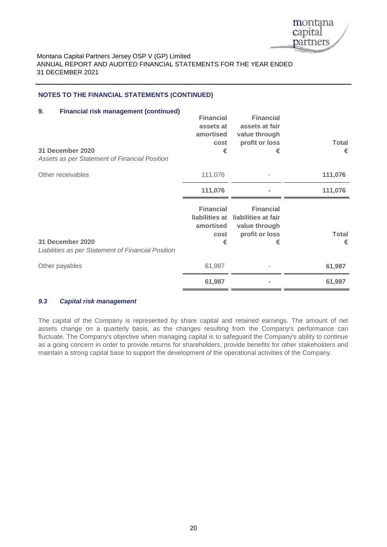

# **NOTES TO THE FINANCIAL STATEMENTS (CONTINUED)**

| <b>Financial risk management (continued)</b><br>9.<br>31 December 2020<br>Assets as per Statement of Financial Position | <b>Financial</b><br>assets at<br>amortised<br>cost<br>€      | <b>Financial</b><br>assets at fair<br>value through<br>profit or loss<br>€      | <b>Total</b><br>€ |
|-------------------------------------------------------------------------------------------------------------------------|--------------------------------------------------------------|---------------------------------------------------------------------------------|-------------------|
| Other receivables                                                                                                       | 111,076                                                      |                                                                                 | 111,076           |
|                                                                                                                         | 111,076                                                      |                                                                                 | 111,076           |
| 31 December 2020<br>Liabilities as per Statement of Financial Position                                                  | <b>Financial</b><br>liabilities at<br>amortised<br>cost<br>€ | <b>Financial</b><br>liabilities at fair<br>value through<br>profit or loss<br>€ | <b>Total</b><br>€ |
| Other payables                                                                                                          | 61,987                                                       |                                                                                 | 61,987            |
|                                                                                                                         | 61,987                                                       |                                                                                 | 61,987            |

#### *9.3 Capital risk management*

The capital of the Company is represented by share capital and retained earnings. The amount of net assets change on a quarterly basis, as the changes resulting from the Company's performance can fluctuate. The Company's objective when managing capital is to safeguard the Company's ability to continue as a going concern in order to provide returns for shareholders, provide benefits for other stakeholders and maintain a strong capital base to support the development of the operational activities of the Company.